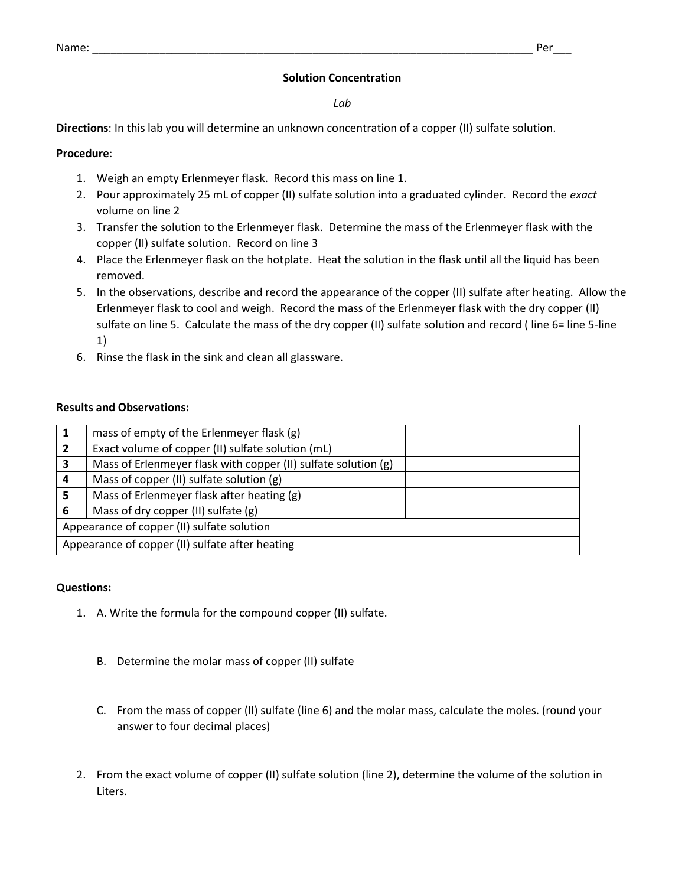# **Solution Concentration**

*Lab*

**Directions**: In this lab you will determine an unknown concentration of a copper (II) sulfate solution.

# **Procedure**:

- 1. Weigh an empty Erlenmeyer flask. Record this mass on line 1.
- 2. Pour approximately 25 mL of copper (II) sulfate solution into a graduated cylinder. Record the *exact* volume on line 2
- 3. Transfer the solution to the Erlenmeyer flask. Determine the mass of the Erlenmeyer flask with the copper (II) sulfate solution. Record on line 3
- 4. Place the Erlenmeyer flask on the hotplate. Heat the solution in the flask until all the liquid has been removed.
- 5. In the observations, describe and record the appearance of the copper (II) sulfate after heating. Allow the Erlenmeyer flask to cool and weigh. Record the mass of the Erlenmeyer flask with the dry copper (II) sulfate on line 5. Calculate the mass of the dry copper (II) sulfate solution and record ( line 6= line 5-line 1)
- 6. Rinse the flask in the sink and clean all glassware.

# **Results and Observations:**

|                                                 | mass of empty of the Erlenmeyer flask (g)                      |  |  |
|-------------------------------------------------|----------------------------------------------------------------|--|--|
|                                                 | Exact volume of copper (II) sulfate solution (mL)              |  |  |
| 3                                               | Mass of Erlenmeyer flask with copper (II) sulfate solution (g) |  |  |
| 4                                               | Mass of copper (II) sulfate solution (g)                       |  |  |
|                                                 | Mass of Erlenmeyer flask after heating (g)                     |  |  |
| 6                                               | Mass of dry copper (II) sulfate (g)                            |  |  |
| Appearance of copper (II) sulfate solution      |                                                                |  |  |
| Appearance of copper (II) sulfate after heating |                                                                |  |  |

## **Questions:**

- 1. A. Write the formula for the compound copper (II) sulfate.
	- B. Determine the molar mass of copper (II) sulfate
	- C. From the mass of copper (II) sulfate (line 6) and the molar mass, calculate the moles. (round your answer to four decimal places)
- 2. From the exact volume of copper (II) sulfate solution (line 2), determine the volume of the solution in Liters.